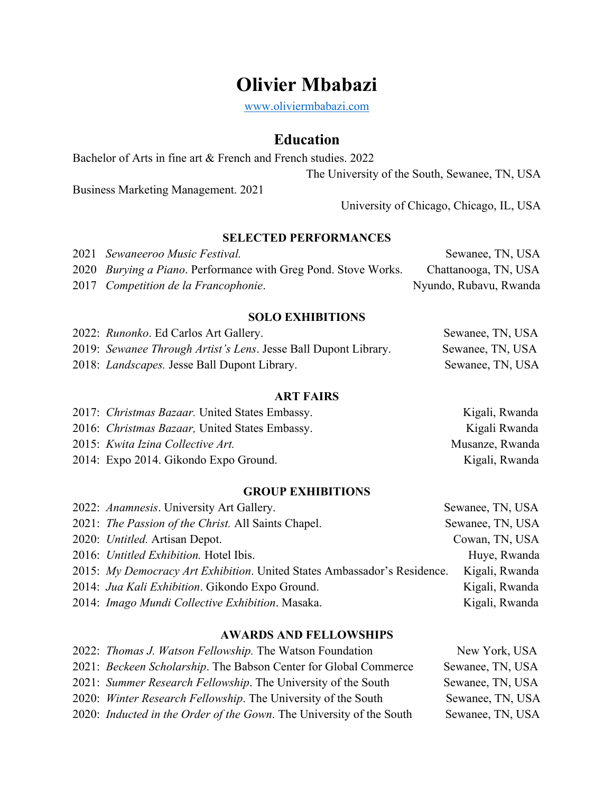# **Olivier Mbabazi**

www.oliviermbabazi.com

# **Education**

Bachelor of Arts in fine art & French and French studies. 2022

The University of the South, Sewanee, TN, USA

Business Marketing Management. 2021

University of Chicago, Chicago, IL, USA

# **SELECTED PERFORMANCES**

| 2021 Sewaneeroo Music Festival.                                        | Sewanee, TN, USA       |
|------------------------------------------------------------------------|------------------------|
| 2020 <i>Burying a Piano</i> . Performance with Greg Pond. Stove Works. | Chattanooga, TN, USA   |
| 2017 Competition de la Francophonie.                                   | Nyundo, Rubavu, Rwanda |

#### **SOLO EXHIBITIONS** 2022: *Runonko*. Ed Carlos Art Gallery. Sewanee, TN, USA

| 2022: Runonko. Ed Carlos Art Gallery.                           | Sewanee, TN, USA |
|-----------------------------------------------------------------|------------------|
| 2019: Sewanee Through Artist's Lens. Jesse Ball Dupont Library. | Sewanee, TN, USA |
| 2018: <i>Landscapes</i> . Jesse Ball Dupont Library.            | Sewanee, TN, USA |

### **ART FAIRS**

| 2017: Christmas Bazaar. United States Embassy.         | Kigali, Rwanda  |
|--------------------------------------------------------|-----------------|
| 2016: <i>Christmas Bazaar</i> , United States Embassy. | Kigali Rwanda   |
| 2015: Kwita Izina Collective Art.                      | Musanze, Rwanda |
| 2014: Expo 2014. Gikondo Expo Ground.                  | Kigali, Rwanda  |
|                                                        |                 |

#### **GROUP EXHIBITIONS**

| 2022: Anamnesis. University Art Gallery.                                 | Sewanee, TN, USA |
|--------------------------------------------------------------------------|------------------|
| 2021: The Passion of the Christ. All Saints Chapel.                      | Sewanee, TN, USA |
| 2020: Untitled. Artisan Depot.                                           | Cowan, TN, USA   |
| 2016: Untitled Exhibition. Hotel Ibis.                                   | Huye, Rwanda     |
| 2015: My Democracy Art Exhibition. United States Ambassador's Residence. | Kigali, Rwanda   |
| 2014: Jua Kali Exhibition. Gikondo Expo Ground.                          | Kigali, Rwanda   |
| 2014: Imago Mundi Collective Exhibition. Masaka.                         | Kigali, Rwanda   |
|                                                                          |                  |

# **AWARDS AND FELLOWSHIPS**

| 2022: Thomas J. Watson Fellowship. The Watson Foundation             | New York, USA    |
|----------------------------------------------------------------------|------------------|
| 2021: Beckeen Scholarship. The Babson Center for Global Commerce     | Sewanee, TN, USA |
| 2021: Summer Research Fellowship. The University of the South        | Sewanee, TN, USA |
| 2020: Winter Research Fellowship. The University of the South        | Sewanee, TN, USA |
| 2020: Inducted in the Order of the Gown. The University of the South | Sewanee, TN, USA |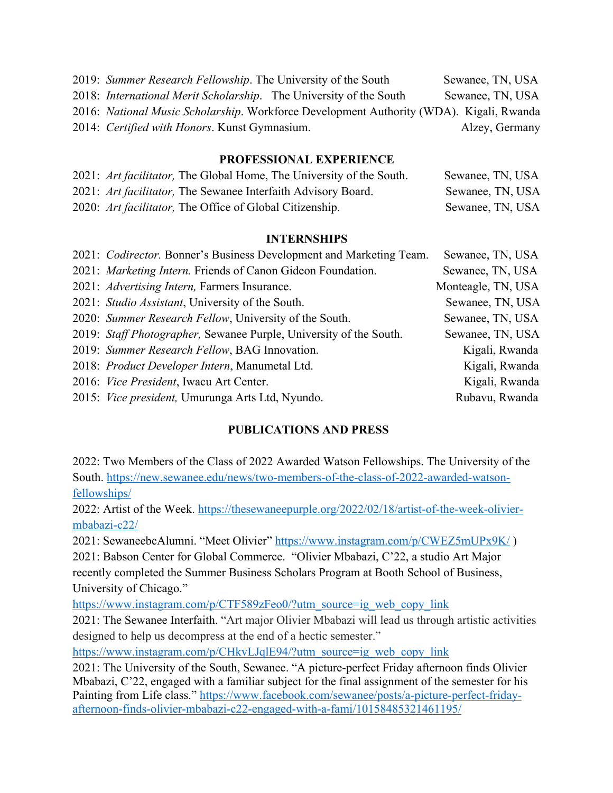| 2019: Summer Research Fellowship. The University of the South                                   | Sewanee, TN, USA |
|-------------------------------------------------------------------------------------------------|------------------|
| 2018: <i>International Merit Scholarship</i> . The University of the South                      | Sewanee, TN, USA |
| 2016: <i>National Music Scholarship</i> . Workforce Development Authority (WDA). Kigali, Rwanda |                  |
| 2014: Certified with Honors. Kunst Gymnasium.                                                   | Alzey, Germany   |

# **PROFESSIONAL EXPERIENCE**

| 2021: Art facilitator, The Global Home, The University of the South. | Sewanee, TN, USA |
|----------------------------------------------------------------------|------------------|
| 2021: Art facilitator, The Sewanee Interfaith Advisory Board.        | Sewanee, TN, USA |
| 2020: Art facilitator, The Office of Global Citizenship.             | Sewanee, TN, USA |

### **INTERNSHIPS**

| Sewanee, TN, USA                                                                                                                                                                                                                                                                                                                                                                                                                                                                                                                                                         |
|--------------------------------------------------------------------------------------------------------------------------------------------------------------------------------------------------------------------------------------------------------------------------------------------------------------------------------------------------------------------------------------------------------------------------------------------------------------------------------------------------------------------------------------------------------------------------|
| Sewanee, TN, USA                                                                                                                                                                                                                                                                                                                                                                                                                                                                                                                                                         |
| Monteagle, TN, USA                                                                                                                                                                                                                                                                                                                                                                                                                                                                                                                                                       |
| Sewanee, TN, USA                                                                                                                                                                                                                                                                                                                                                                                                                                                                                                                                                         |
| Sewanee, TN, USA                                                                                                                                                                                                                                                                                                                                                                                                                                                                                                                                                         |
| Sewanee, TN, USA                                                                                                                                                                                                                                                                                                                                                                                                                                                                                                                                                         |
| Kigali, Rwanda                                                                                                                                                                                                                                                                                                                                                                                                                                                                                                                                                           |
| Kigali, Rwanda                                                                                                                                                                                                                                                                                                                                                                                                                                                                                                                                                           |
| Kigali, Rwanda                                                                                                                                                                                                                                                                                                                                                                                                                                                                                                                                                           |
| Rubavu, Rwanda                                                                                                                                                                                                                                                                                                                                                                                                                                                                                                                                                           |
| 2021: Codirector. Bonner's Business Development and Marketing Team.<br>2021: Marketing Intern. Friends of Canon Gideon Foundation.<br>2021: Advertising Intern, Farmers Insurance.<br>2021: Studio Assistant, University of the South.<br>2020: Summer Research Fellow, University of the South.<br>2019: Staff Photographer, Sewanee Purple, University of the South.<br>2019: Summer Research Fellow, BAG Innovation.<br>2018: Product Developer Intern, Manumetal Ltd.<br>2016: Vice President, Iwacu Art Center.<br>2015: Vice president, Umurunga Arts Ltd, Nyundo. |

# **PUBLICATIONS AND PRESS**

2022: Two Members of the Class of 2022 Awarded Watson Fellowships. The University of the South. https://new.sewanee.edu/news/two-members-of-the-class-of-2022-awarded-watsonfellowships/

2022: Artist of the Week. https://thesewaneepurple.org/2022/02/18/artist-of-the-week-oliviermbabazi-c22/

2021: SewaneebcAlumni. "Meet Olivier" https://www.instagram.com/p/CWEZ5mUPx9K/ )

2021: Babson Center for Global Commerce. "Olivier Mbabazi, C'22, a studio Art Major recently completed the Summer Business Scholars Program at Booth School of Business, University of Chicago."

https://www.instagram.com/p/CTF589zFeo0/?utm\_source=ig\_web\_copy\_link

2021: The Sewanee Interfaith. "Art major Olivier Mbabazi will lead us through artistic activities designed to help us decompress at the end of a hectic semester."

https://www.instagram.com/p/CHkvLJqlE94/?utm\_source=ig\_web\_copy\_link

2021: The University of the South, Sewanee. "A picture-perfect Friday afternoon finds Olivier Mbabazi, C'22, engaged with a familiar subject for the final assignment of the semester for his Painting from Life class." https://www.facebook.com/sewanee/posts/a-picture-perfect-fridayafternoon-finds-olivier-mbabazi-c22-engaged-with-a-fami/10158485321461195/